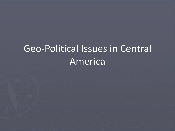# Geo-Political Issues in Central America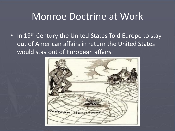#### Monroe Doctrine at Work

• In 19<sup>th</sup> Century the United States Told Europe to stay out of American affairs in return the United States would stay out of European affairs

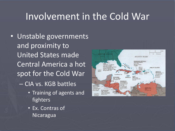#### Involvement in the Cold War

- Unstable governments and proximity to United States made Central America a hot spot for the Cold War – CIA vs. KGB battles
	- Training of agents and fighters
	- Ex. Contras of Nicaragua

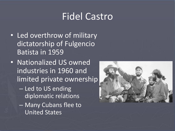### Fidel Castro

- Led overthrow of military dictatorship of Fulgencio Batista in 1959
- Nationalized US owned industries in 1960 and limited private ownership
	- Led to US ending diplomatic relations
	- Many Cubans flee to United States

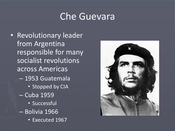#### Che Guevara

• Revolutionary leader from Argentina responsible for many socialist revolutions across Americas – 1953 Guatemala **• Stopped by CIA** – Cuba 1959 • Successful – Bolivia 1966 • Executed 1967

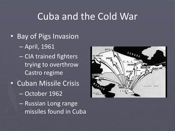### Cuba and the Cold War

- Bay of Pigs Invasion
	- April, 1961
	- CIA trained fighters trying to overthrow Castro regime
- Cuban Missile Crisis
	- October 1962
	- Russian Long range missiles found in Cuba

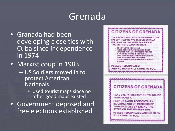## Grenada

- Granada had been developing close ties with Cuba since independence in 1974
- Marxist coup in 1983
	- US Soldiers moved in to protect American Nationals
		- Used tourist maps since no other good maps existed
- Government deposed and free elections established

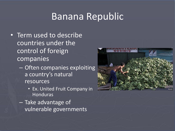#### Banana Republic

- Term used to describe countries under the control of foreign companies
	- Often companies exploiting a country's natural resources
		- Ex. United Fruit Company in Honduras
	- Take advantage of vulnerable governments

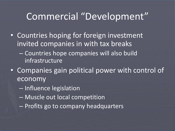### Commercial "Development"

- Countries hoping for foreign investment invited companies in with tax breaks
	- Countries hope companies will also build infrastructure
- Companies gain political power with control of economy
	- Influence legislation
	- Muscle out local competition
	- Profits go to company headquarters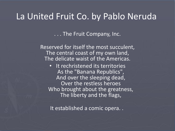#### La United Fruit Co. by Pablo Neruda

. . . The Fruit Company, Inc.

Reserved for itself the most succulent, The central coast of my own land, The delicate waist of the Americas.

• It rechristened its territories As the "Banana Republics", And over the sleeping dead, Over the restless heroes Who brought about the greatness, The liberty and the flags,

It established a comic opera. .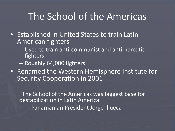### The School of the Americas

- Established in United States to train Latin American fighters
	- Used to train anti-communist and anti-narcotic fighters
	- Roughly 64,000 fighters
- Renamed the Western Hemisphere Institute for Security Cooperation in 2001

"The School of the Americas was biggest base for destabilization in Latin America."

- Panamanian President Jorge Illueca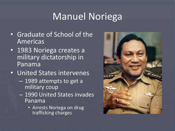# Manuel Noriega

- Graduate of School of the Americas
- 1983 Noriega creates a military dictatorship in Panama
- United States intervenes
	- 1989 attempts to get a military coup
	- 1990 United States invades Panama
		- Arrests Noriega on drug trafficking charges